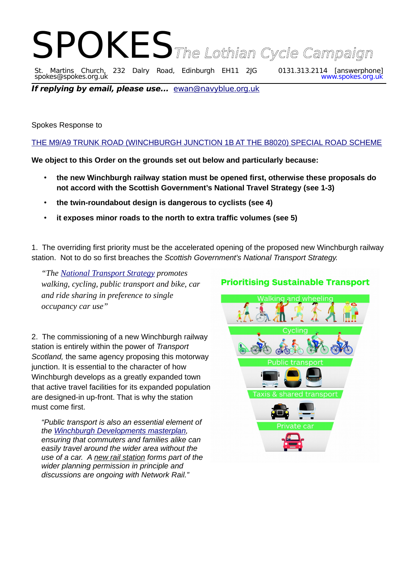## SPOKESThe Lothian Cycle Campaign<br>St. Martins Church, 232 Dalry Road, Edinburgh EH11 2JG 0131.313.2114 [answerphone] St. Martins Church, 232 Dalry Road, Edinburgh EH11 2JG 0131.313.2114 [answerphone] spokes@spokes.org.uk www.spokes.org.uk

**If replying by email, please use...** [ewan@navyblue.org.uk](mailto:ewan@navyblue.org.uk)

Spokes Response to

[THE M9/A9 TRUNK ROAD \(WINCHBURGH JUNCTION 1B AT THE B8020\) SPECIAL ROAD SCHEME](https://storymaps.arcgis.com/stories/8cd2e02c4ee644fca3f52d015bf8c236)

**We object to this Order on the grounds set out below and particularly because:**

- **the new Winchburgh railway station must be opened first, otherwise these proposals do not accord with the Scottish Government's National Travel Strategy (see 1-3)**
- **the twin-roundabout design is dangerous to cyclists (see 4)**
- **it exposes minor roads to the north to extra traffic volumes (see 5)**

1. The overriding first priority must be the accelerated opening of the proposed new Winchburgh railway station. Not to do so first breaches the *Scottish Government's National Transport Strategy.*

*"The [National Transport Strategy](https://www.transport.gov.scot/active-travel/developing-an-active-nation/sustainable-travel-and-the-national-transport-strategy/#) promotes walking, cycling, public transport and bike, car and ride sharing in preference to single occupancy car use"*

2. The commissioning of a new Winchburgh railway station is entirely within the power of *Transport Scotland,* the same agency proposing this motorway junction. It is essential to the character of how Winchburgh develops as a greatly expanded town that active travel facilities for its expanded population are designed-in up-front. That is why the station must come first.

*"Public transport is also an essential element of the [Winchburgh Developments masterplan,](https://www.winchburghdevelopments.com/) ensuring that commuters and families alike can easily travel around the wider area without the use of a car. A new rail station forms part of the wider planning permission in principle and discussions are ongoing with Network Rail."*

## **Prioritising Sustainable Transport**